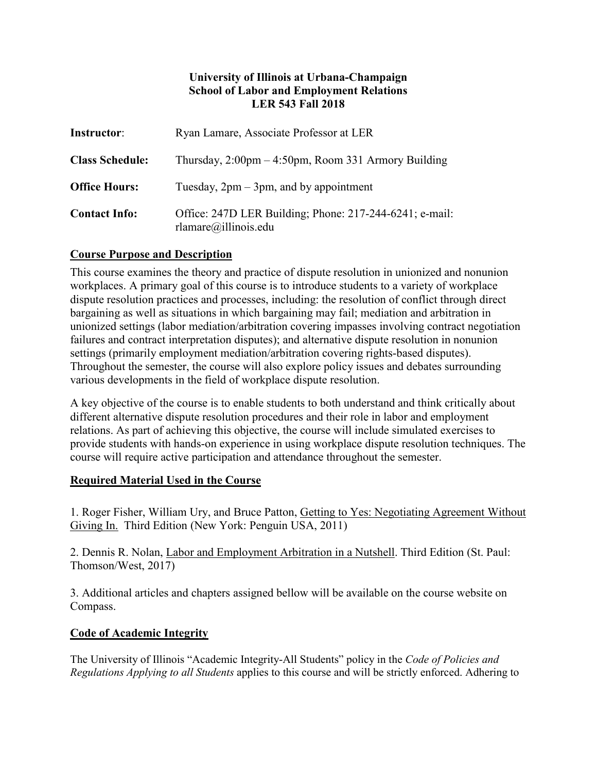### **University of Illinois at Urbana-Champaign School of Labor and Employment Relations LER 543 Fall 2018**

| <b>Instructor:</b>     | Ryan Lamare, Associate Professor at LER                                                  |  |
|------------------------|------------------------------------------------------------------------------------------|--|
| <b>Class Schedule:</b> | Thursday, $2:00$ pm $-4:50$ pm, Room 331 Armory Building                                 |  |
| <b>Office Hours:</b>   | Tuesday, $2pm - 3pm$ , and by appointment                                                |  |
| <b>Contact Info:</b>   | Office: 247D LER Building; Phone: 217-244-6241; e-mail:<br>$r$ lamare $(a)$ illinois.edu |  |

## **Course Purpose and Description**

This course examines the theory and practice of dispute resolution in unionized and nonunion workplaces. A primary goal of this course is to introduce students to a variety of workplace dispute resolution practices and processes, including: the resolution of conflict through direct bargaining as well as situations in which bargaining may fail; mediation and arbitration in unionized settings (labor mediation/arbitration covering impasses involving contract negotiation failures and contract interpretation disputes); and alternative dispute resolution in nonunion settings (primarily employment mediation/arbitration covering rights-based disputes). Throughout the semester, the course will also explore policy issues and debates surrounding various developments in the field of workplace dispute resolution.

A key objective of the course is to enable students to both understand and think critically about different alternative dispute resolution procedures and their role in labor and employment relations. As part of achieving this objective, the course will include simulated exercises to provide students with hands-on experience in using workplace dispute resolution techniques. The course will require active participation and attendance throughout the semester.

### **Required Material Used in the Course**

1. Roger Fisher, William Ury, and Bruce Patton, Getting to Yes: Negotiating Agreement Without Giving In. Third Edition (New York: Penguin USA, 2011)

2. Dennis R. Nolan, Labor and Employment Arbitration in a Nutshell. Third Edition (St. Paul: Thomson/West, 2017)

3. Additional articles and chapters assigned bellow will be available on the course website on Compass.

### **Code of Academic Integrity**

The University of Illinois "Academic Integrity-All Students" policy in the *Code of Policies and Regulations Applying to all Students* applies to this course and will be strictly enforced. Adhering to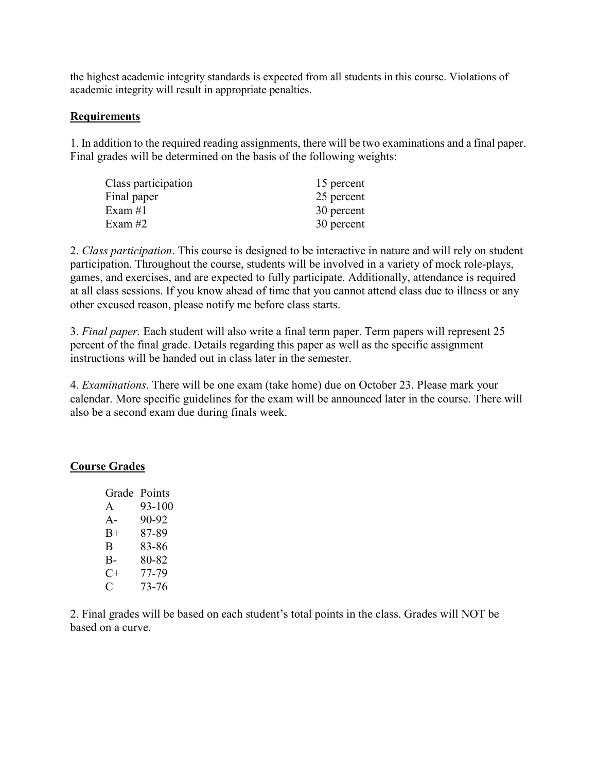the highest academic integrity standards is expected from all students in this course. Violations of academic integrity will result in appropriate penalties.

#### **Requirements**

1. In addition to the required reading assignments, there will be two examinations and a final paper. Final grades will be determined on the basis of the following weights:

| Class participation | 15 percent |
|---------------------|------------|
| Final paper         | 25 percent |
| Exam $#1$           | 30 percent |
| Exam $#2$           | 30 percent |

2. *Class participation*. This course is designed to be interactive in nature and will rely on student participation. Throughout the course, students will be involved in a variety of mock role-plays, games, and exercises, and are expected to fully participate. Additionally, attendance is required at all class sessions. If you know ahead of time that you cannot attend class due to illness or any other excused reason, please notify me before class starts.

3. *Final paper.* Each student will also write a final term paper. Term papers will represent 25 percent of the final grade. Details regarding this paper as well as the specific assignment instructions will be handed out in class later in the semester.

4. *Examinations*. There will be one exam (take home) due on October 23. Please mark your calendar. More specific guidelines for the exam will be announced later in the course. There will also be a second exam due during finals week.

### **Course Grades**

| Points |
|--------|
| 93-100 |
| 90-92  |
| 87-89  |
| 83-86  |
| 80-82  |
| 77-79  |
| 73-76  |
|        |

2. Final grades will be based on each student's total points in the class. Grades will NOT be based on a curve.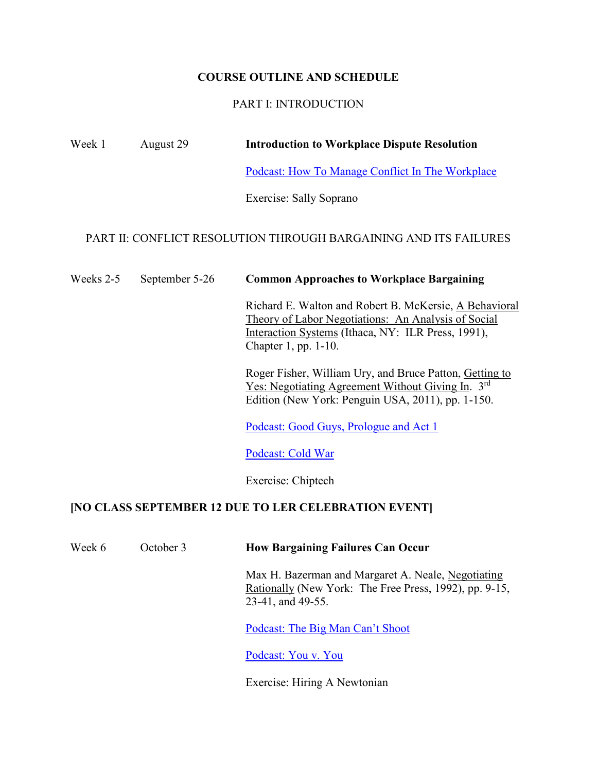## **COURSE OUTLINE AND SCHEDULE**

## PART I: INTRODUCTION

| Week 1    | August 29      | <b>Introduction to Workplace Dispute Resolution</b>                                                                                                                                            |
|-----------|----------------|------------------------------------------------------------------------------------------------------------------------------------------------------------------------------------------------|
|           |                | Podcast: How To Manage Conflict In The Workplace                                                                                                                                               |
|           |                | Exercise: Sally Soprano                                                                                                                                                                        |
|           |                | <b>PART II: CONFLICT RESOLUTION THROUGH BARGAINING AND ITS FAILURES</b>                                                                                                                        |
| Weeks 2-5 | September 5-26 | <b>Common Approaches to Workplace Bargaining</b>                                                                                                                                               |
|           |                | Richard E. Walton and Robert B. McKersie, A Behavioral<br>Theory of Labor Negotiations: An Analysis of Social<br>Interaction Systems (Ithaca, NY: ILR Press, 1991),<br>Chapter 1, pp. $1-10$ . |
|           |                | Roger Fisher, William Ury, and Bruce Patton, Getting to<br><u>Yes: Negotiating Agreement Without Giving In.</u> 3 <sup>rd</sup><br>Edition (New York: Penguin USA, 2011), pp. 1-150.           |
|           |                | Podcast: Good Guys, Prologue and Act 1                                                                                                                                                         |
|           |                | Podcast: Cold War                                                                                                                                                                              |

Exercise: Chiptech

# **[NO CLASS SEPTEMBER 12 DUE TO LER CELEBRATION EVENT]**

| Week 6 | October 3 | <b>How Bargaining Failures Can Occur</b>                                                                                          |
|--------|-----------|-----------------------------------------------------------------------------------------------------------------------------------|
|        |           | Max H. Bazerman and Margaret A. Neale, Negotiating<br>Rationally (New York: The Free Press, 1992), pp. 9-15,<br>23-41, and 49-55. |
|        |           | Podcast: The Big Man Can't Shoot                                                                                                  |

[Podcast: You v. You](http://www.radiolab.org/story/117291-you-v-you/)

Exercise: Hiring A Newtonian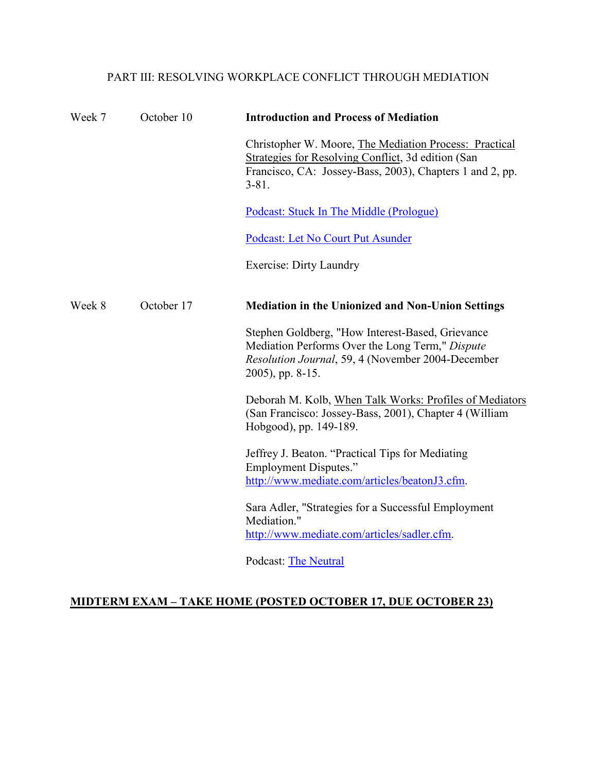## PART III: RESOLVING WORKPLACE CONFLICT THROUGH MEDIATION

| Week 7 | October 10 | <b>Introduction and Process of Mediation</b>                                                                                                                                          |
|--------|------------|---------------------------------------------------------------------------------------------------------------------------------------------------------------------------------------|
|        |            | Christopher W. Moore, The Mediation Process: Practical<br>Strategies for Resolving Conflict, 3d edition (San<br>Francisco, CA: Jossey-Bass, 2003), Chapters 1 and 2, pp.<br>$3 - 81.$ |
|        |            | Podcast: Stuck In The Middle (Prologue)                                                                                                                                               |
|        |            | Podcast: Let No Court Put Asunder                                                                                                                                                     |
|        |            | <b>Exercise: Dirty Laundry</b>                                                                                                                                                        |
| Week 8 | October 17 | <b>Mediation in the Unionized and Non-Union Settings</b>                                                                                                                              |
|        |            | Stephen Goldberg, "How Interest-Based, Grievance<br>Mediation Performs Over the Long Term," Dispute<br>Resolution Journal, 59, 4 (November 2004-December<br>2005), pp. 8-15.          |
|        |            | Deborah M. Kolb, When Talk Works: Profiles of Mediators<br>(San Francisco: Jossey-Bass, 2001), Chapter 4 (William<br>Hobgood), pp. 149-189.                                           |
|        |            | Jeffrey J. Beaton. "Practical Tips for Mediating<br><b>Employment Disputes."</b><br>http://www.mediate.com/articles/beatonJ3.cfm.                                                     |
|        |            | Sara Adler, "Strategies for a Successful Employment<br>Mediation."<br>http://www.mediate.com/articles/sadler.cfm.                                                                     |
|        |            | <b>Podcast: The Neutral</b>                                                                                                                                                           |

## **MIDTERM EXAM – TAKE HOME (POSTED OCTOBER 17, DUE OCTOBER 23)**